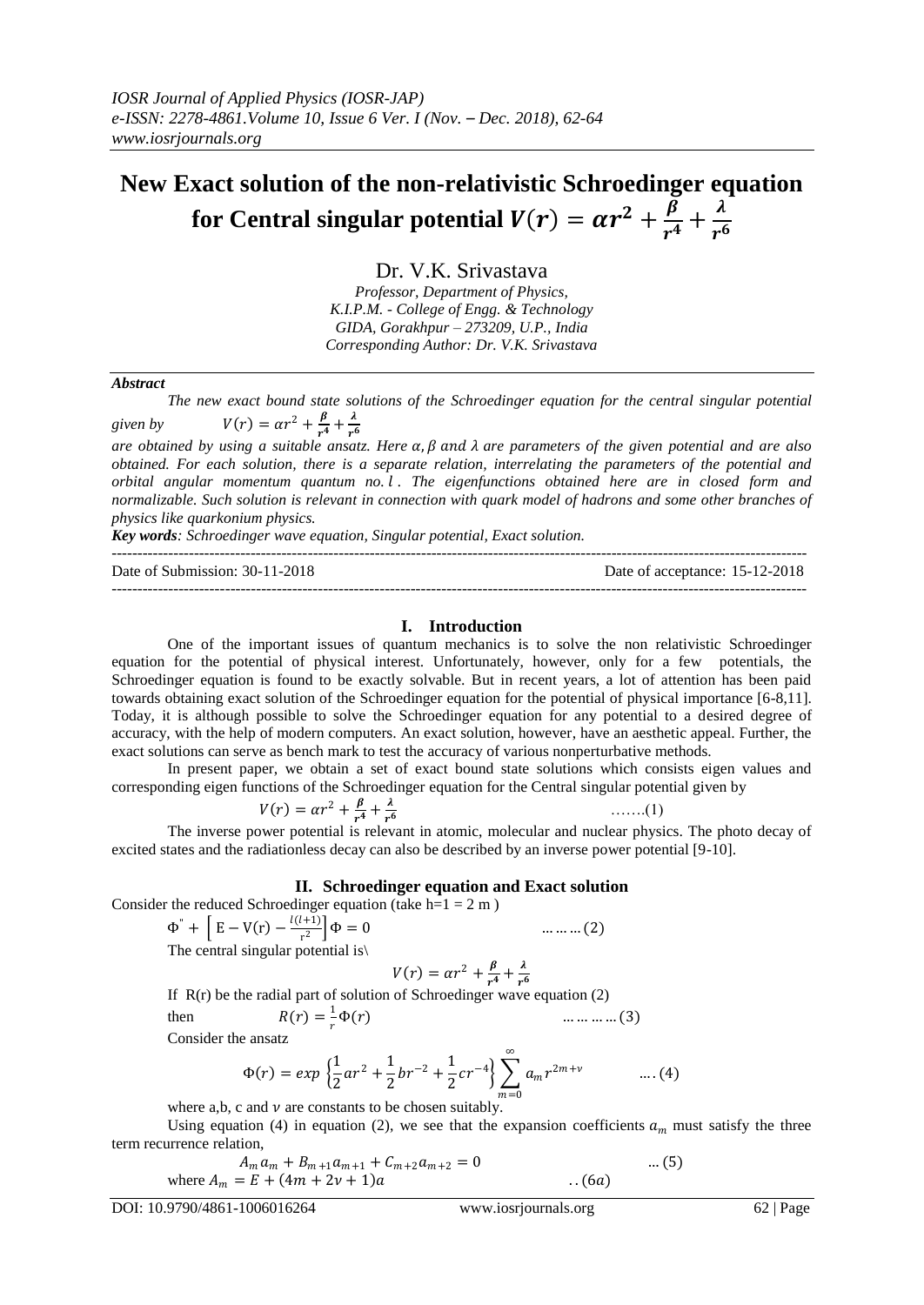## **New Exact solution of the non-relativistic Schroedinger equation**  for Central singular potential  $V(r) = \alpha r^2 + \frac{\beta}{r^4}$  $\frac{\beta}{r^4} + \frac{\lambda}{r^6}$  $r<sup>6</sup>$

Dr. V.K. Srivastava

*Professor, Department of Physics, K.I.P.M. - College of Engg. & Technology GIDA, Gorakhpur – 273209, U.P., India Corresponding Author: Dr. V.K. Srivastava*

#### *Abstract*

*The new exact bound state solutions of the Schroedinger equation for the central singular potential*  given by  $V(r) = \alpha r^2 + \frac{\beta}{r^4}$  $\frac{\beta}{r^4}+\frac{\lambda}{r^6}$ 

 $r<sub>6</sub>$ *are obtained by using a suitable ansatz. Here*  $\alpha$ ,  $\beta$  and  $\lambda$  *are parameters of the given potential and are also obtained. For each solution, there is a separate relation, interrelating the parameters of the potential and orbital angular momentum quantum no. . The eigenfunctions obtained here are in closed form and normalizable. Such solution is relevant in connection with quark model of hadrons and some other branches of physics like quarkonium physics.* 

*Key words: Schroedinger wave equation, Singular potential, Exact solution.*

--------------------------------------------------------------------------------------------------------------------------------------- Date of Submission: 30-11-2018 Date of acceptance: 15-12-2018 ---------------------------------------------------------------------------------------------------------------------------------------

### **I. Introduction**

One of the important issues of quantum mechanics is to solve the non relativistic Schroedinger equation for the potential of physical interest. Unfortunately, however, only for a few potentials, the Schroedinger equation is found to be exactly solvable. But in recent years, a lot of attention has been paid towards obtaining exact solution of the Schroedinger equation for the potential of physical importance [6-8,11]. Today, it is although possible to solve the Schroedinger equation for any potential to a desired degree of accuracy, with the help of modern computers. An exact solution, however, have an aesthetic appeal. Further, the exact solutions can serve as bench mark to test the accuracy of various nonperturbative methods.

In present paper, we obtain a set of exact bound state solutions which consists eigen values and corresponding eigen functions of the Schroedinger equation for the Central singular potential given by

$$
V(r) = \alpha r^2 + \frac{\beta}{r^4} + \frac{\lambda}{r^6}
$$
 (1)

The inverse power potential is relevant in atomic, molecular and nuclear physics. The photo decay of excited states and the radiationless decay can also be described by an inverse power potential [9-10].

#### **II. Schroedinger equation and Exact solution**

Consider the reduced Schroedinger equation (take  $h=1 = 2 m$ )

$$
\Phi^{\dagger} + \left[ \mathbf{E} - \mathbf{V}(\mathbf{r}) - \frac{l(l+1)}{\mathbf{r}^2} \right] \Phi = 0
$$

The central singular potential is $\langle$ 

$$
V(r) = \alpha r^2 + \frac{\beta}{r^4} + \frac{\lambda}{r^6}
$$

If R(r) be the radial part of solution of Schroedinger wave equation (2) then  $R(r) = \frac{1}{r}$ 

r  $\dots \dots \dots \dots (3)$ 

Consider the ansatz

$$
\Phi(r) = exp \left\{ \frac{1}{2}ar^2 + \frac{1}{2}br^{-2} + \frac{1}{2}cr^{-4} \right\} \sum_{m=0}^{\infty} a_m r^{2m+\nu} \qquad \dots (4)
$$

where a,b, c and  $\nu$  are constants to be chosen suitably.

Using equation (4) in equation (2), we see that the expansion coefficients  $a_m$  must satisfy the three term recurrence relation,

$$
A_{m}a_{m} + B_{m+1}a_{m+1} + C_{m+2}a_{m+2} = 0
$$
 ... (5)  
where  $A_{m} = E + (4m + 2\nu + 1)a$ 

 $\dots \dots \dots (2)$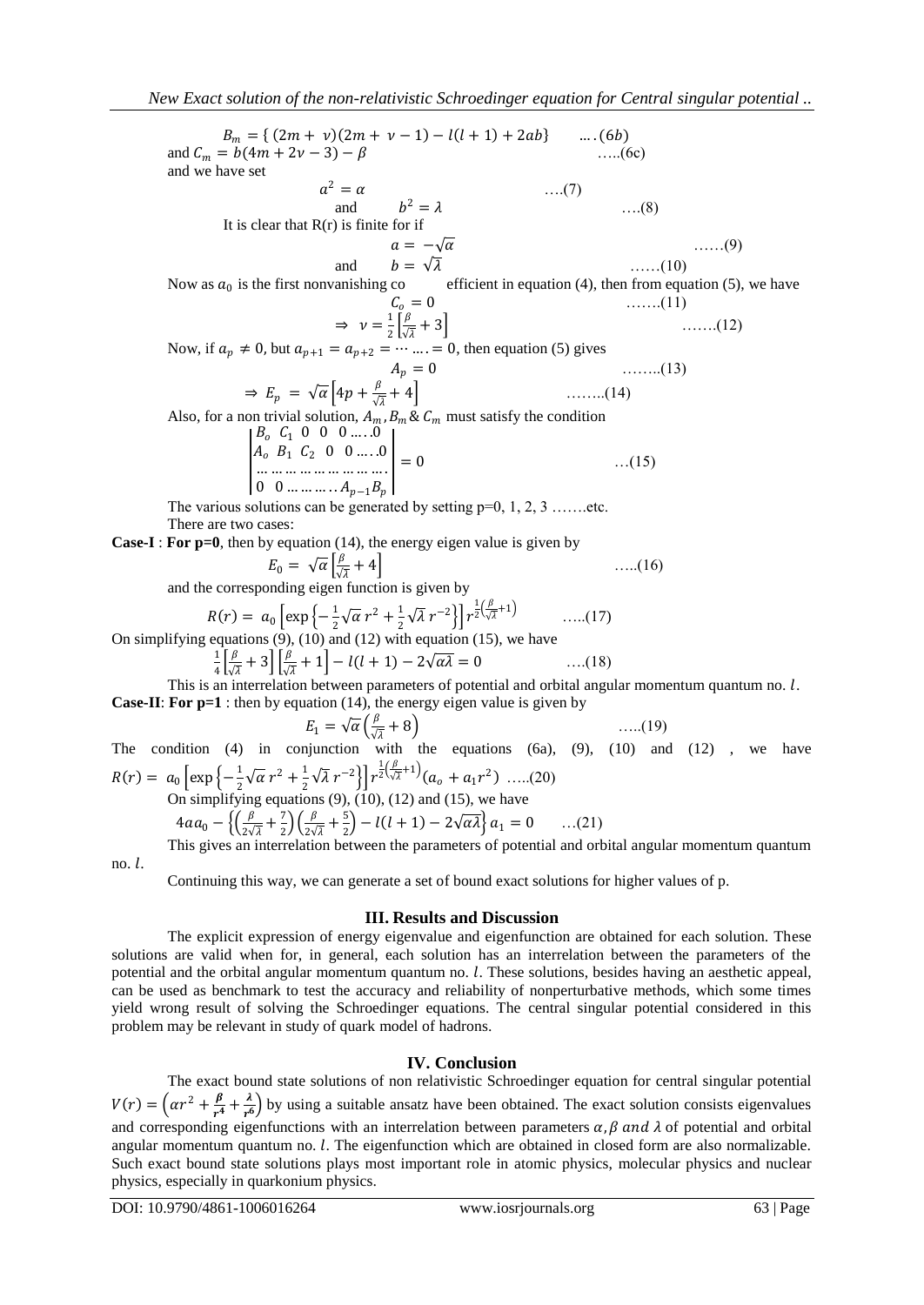$B_m = \{ (2m + v)(2m + v - 1) - l(l + 1) + 2ab \}$  .... (6b) and  $C_m = b(4m + 2v - 3) - \beta$  …..(6c) and we have set  $a^2 = \alpha$  ....(7) and  $b^2 = \lambda$  ....(8) It is clear that  $R(r)$  is finite for if  $a = -\sqrt{a}$  ……(9) and  $b = \sqrt{\lambda}$  ......(10) Now as  $a_0$  is the first nonvanishing co efficient in equation (4), then from equation (5), we have  $C_o = 0$  …….(11)  $\Rightarrow$   $\nu = \frac{1}{2}$  $rac{1}{2} \left[ \frac{\beta}{\sqrt{2}} \right]$  $\frac{p}{\sqrt{\lambda}} + 3$  …….(12) Now, if  $a_p \neq 0$ , but  $a_{p+1} = a_{p+2} = \cdots = 0$ , then equation (5) gives  $A_p = 0$  ……..(13)  $\Rightarrow E_p = \sqrt{\alpha} \left[ 4p + \frac{p}{\sqrt{\lambda}} + 4 \right]$  ........(14) Also, for a non trivial solution,  $A_m$ ,  $B_m$  &  $C_m$  must satisfy the condition I  $B_o \, C_1 \, 0 \, 0 \, 0 \, \dots \, .0$  $A_0$   $B_1$   $C_2$  0 0 .....0 … … … … … … … … … . 0 0 … … … .  $A_{p-1}B_p$  $= 0$  …(15) The various solutions can be generated by setting  $p=0, 1, 2, 3, \ldots$  .......etc. There are two cases: **Case-I** : **For p=0**, then by equation (14), the energy eigen value is given by  $E_0 = \sqrt{\alpha} \left[ \frac{\beta}{\sqrt{\alpha}} \right]$  $\frac{p}{\sqrt{\lambda}} + 4$  …..(16) and the corresponding eigen function is given by  $R(r) = a_0 \left[ \exp \left\{-\frac{1}{2} \right. \right]$  $\frac{1}{2}\sqrt{\alpha} r^2 + \frac{1}{2}$  $\frac{1}{2}\sqrt{\lambda}r^{-2}\Big\}\Big]r^{\frac{1}{2}(\frac{\beta}{\sqrt{\lambda}})}$  $\frac{p}{\sqrt{\lambda}}+1$  …..(17) On simplifying equations  $(9)$ ,  $(10)$  and  $(12)$  with equation  $(15)$ , we have 1  $rac{1}{4} \left[\frac{\beta}{\sqrt{2}}\right]$  $\frac{\beta}{\sqrt{\lambda}}+3\left[\frac{\beta}{\sqrt{\lambda}}\right]$  $\frac{\rho}{\sqrt{\lambda}} + 1$  –  $l(l + 1) - 2\sqrt{\alpha\lambda} = 0$  ….(18) This is an interrelation between parameters of potential and orbital angular momentum quantum no.  $l$ . **Case-II**: **For p=1** : then by equation (14), the energy eigen value is given by

 $E_1 = \sqrt{\alpha} \left( \frac{\beta}{\sqrt{\alpha}} \right)$  $\frac{p}{\sqrt{\lambda}} + 8$ ) …..(19) The condition  $(4)$  in conjunction with the equations  $(6a)$ ,  $(9)$ ,  $(10)$  and  $(12)$ , we have  $R(r) = a_0 \left[ \exp \left\{-\frac{1}{2} \right. \right]$  $\frac{1}{2}\sqrt{\alpha} r^2 + \frac{1}{2}$  $\frac{1}{2}\sqrt{\lambda}r^{-2}\Big\}\Big]r^{\frac{1}{2}(\frac{\beta}{\sqrt{\beta}})}$  $\frac{p}{\sqrt{\lambda}}+1$   $(a_0 + a_1r^2)$  .....(20) On simplifying equations  $(9)$ ,  $(10)$ ,  $(12)$  and  $(15)$ , we have  $4aa_0 - \left\{ \left( \frac{\beta}{2} \right)$  $rac{\beta}{2\sqrt{\lambda}} + \frac{7}{2}$  $\frac{7}{2}$  $\left(\frac{\beta}{2\sqrt{2}}\right)$  $\frac{\beta}{2\sqrt{\lambda}} + \frac{5}{2}$  $\left(\frac{3}{2}\right) - l(l+1) - 2\sqrt{\alpha\lambda} \left\{ a_1 = 0 \quad \dots (21) \right\}$ This gives an interrelation between the parameters of potential and orbital angular momentum quantum

no.  $l$ .

Continuing this way, we can generate a set of bound exact solutions for higher values of p.

### **III. Results and Discussion**

The explicit expression of energy eigenvalue and eigenfunction are obtained for each solution. These solutions are valid when for, in general, each solution has an interrelation between the parameters of the potential and the orbital angular momentum quantum no. *l*. These solutions, besides having an aesthetic appeal, can be used as benchmark to test the accuracy and reliability of nonperturbative methods, which some times yield wrong result of solving the Schroedinger equations. The central singular potential considered in this problem may be relevant in study of quark model of hadrons.

# **IV. Conclusion**

The exact bound state solutions of non relativistic Schroedinger equation for central singular potential  $V(r) = \left(\alpha r^2 + \frac{\beta}{r^4}\right)$  $\frac{\beta}{r^4}+\frac{\lambda}{r^6}$  $\left(\frac{\lambda}{r^6}\right)$  by using a suitable ansatz have been obtained. The exact solution consists eigenvalues and corresponding eigenfunctions with an interrelation between parameters  $\alpha$ ,  $\beta$  and  $\lambda$  of potential and orbital angular momentum quantum no.  $l$ . The eigenfunction which are obtained in closed form are also normalizable. Such exact bound state solutions plays most important role in atomic physics, molecular physics and nuclear physics, especially in quarkonium physics.